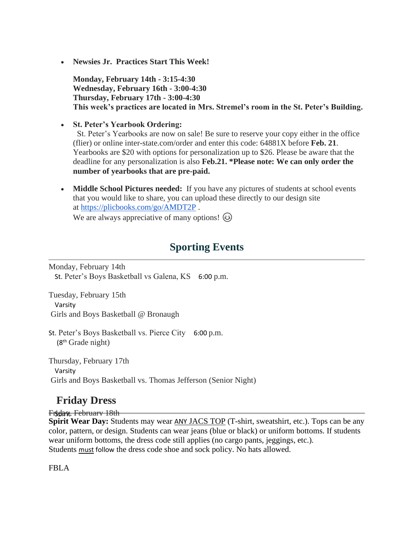• **Newsies Jr. Practices Start This Week!**

**Monday, February 14th - 3:15-4:30 Wednesday, February 16th - 3:00-4:30 Thursday, February 17th - 3:00-4:30 This week's practices are located in Mrs. Stremel's room in the St. Peter's Building.**

• **St. Peter's Yearbook Ordering:**

St. Peter's Yearbooks are now on sale! Be sure to reserve your copy either in the office (flier) or online inter-state.com/order and enter this code: 64881X before **Feb. 21**. Yearbooks are \$20 with options for personalization up to \$26. Please be aware that the deadline for any personalization is also **Feb.21. \*Please note: We can only order the number of yearbooks that are pre-paid.**

• **Middle School Pictures needed:** If you have any pictures of students at school events that you would like to share, you can upload these directly to our design site at <https://plicbooks.com/go/AMDT2P> .

We are always appreciative of many options!  $\circled{e}$ 

## **Sporting Events**

Monday, February 14th St. Peter's Boys Basketball vs Galena, KS 6:00 p.m.

Tuesday, February 15th Varsity Girls and Boys Basketball @ Bronaugh

St. Peter's Boys Basketball vs. Pierce City 6:00 p.m. (8th Grade night)

Thursday, February 17th Varsity Girls and Boys Basketball vs. Thomas Jefferson (Senior Night)

## **Friday Dress**

Friday, February 18th

**Spirit Wear Day:** Students may wear ANY JACS TOP (T-shirt, sweatshirt, etc.). Tops can be any color, pattern, or design. Students can wear jeans (blue or black) or uniform bottoms. If students wear uniform bottoms, the dress code still applies (no cargo pants, jeggings, etc.). Students must follow the dress code shoe and sock policy. No hats allowed.

FBLA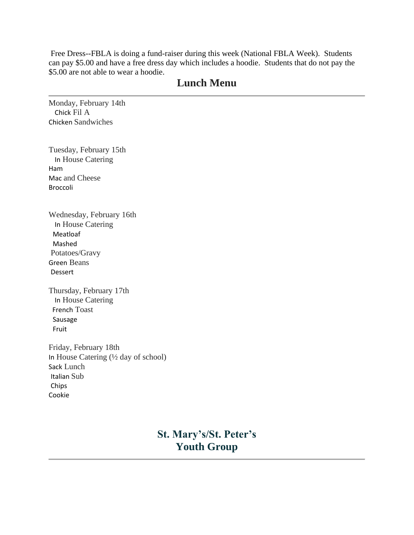Free Dress--FBLA is doing a fund-raiser during this week (National FBLA Week). Students can pay \$5.00 and have a free dress day which includes a hoodie. Students that do not pay the \$5.00 are not able to wear a hoodie.

## **Lunch Menu**

Monday, February 14th Chick Fil A Chicken Sandwiches

Tuesday, February 15th In House Catering Ham Mac and Cheese Broccoli

Wednesday, February 16th In House Catering Meatloaf Mashed Potatoes/Gravy Green Beans Dessert

Thursday, February 17th In House Catering French Toast Sausage Fruit

Friday, February 18th In House Catering (½ day of school) Sack Lunch Italian Sub Chips Cookie

> **St. Mary's/St. Peter's Youth Group**